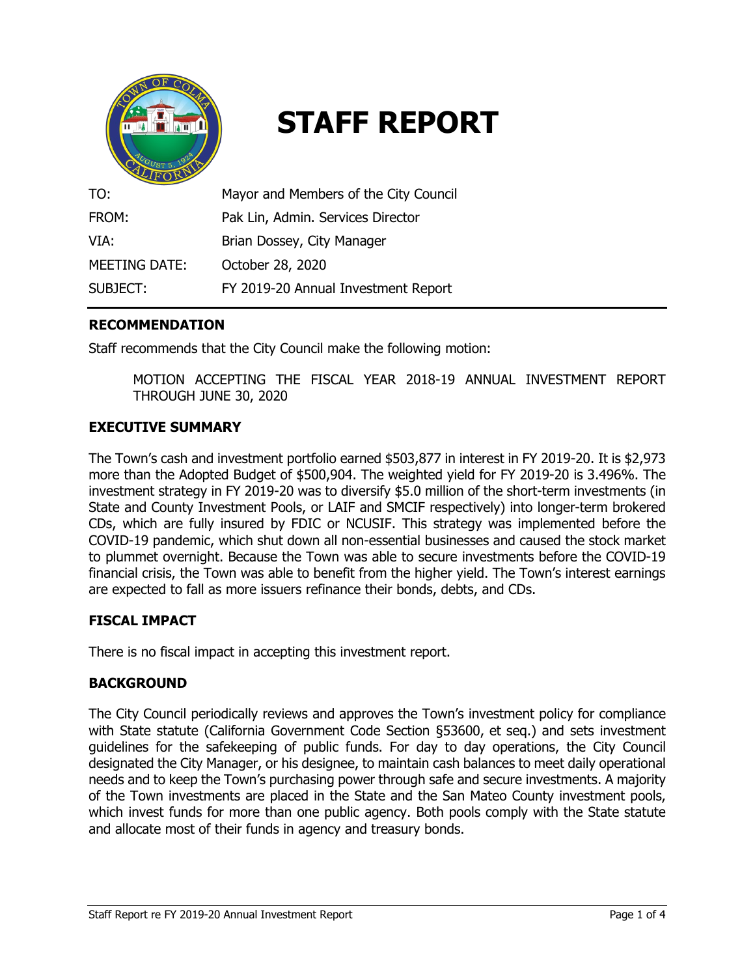

# **STAFF REPORT**

| TO:           | Mayor and Members of the City Council |
|---------------|---------------------------------------|
| FROM:         | Pak Lin, Admin. Services Director     |
| VIA:          | Brian Dossey, City Manager            |
| MEETING DATE: | October 28, 2020                      |
| SUBJECT:      | FY 2019-20 Annual Investment Report   |

# **RECOMMENDATION**

Staff recommends that the City Council make the following motion:

MOTION ACCEPTING THE FISCAL YEAR 2018-19 ANNUAL INVESTMENT REPORT THROUGH JUNE 30, 2020

## **EXECUTIVE SUMMARY**

The Town's cash and investment portfolio earned \$503,877 in interest in FY 2019-20. It is \$2,973 more than the Adopted Budget of \$500,904. The weighted yield for FY 2019-20 is 3.496%. The investment strategy in FY 2019-20 was to diversify \$5.0 million of the short-term investments (in State and County Investment Pools, or LAIF and SMCIF respectively) into longer-term brokered CDs, which are fully insured by FDIC or NCUSIF. This strategy was implemented before the COVID-19 pandemic, which shut down all non-essential businesses and caused the stock market to plummet overnight. Because the Town was able to secure investments before the COVID-19 financial crisis, the Town was able to benefit from the higher yield. The Town's interest earnings are expected to fall as more issuers refinance their bonds, debts, and CDs.

## **FISCAL IMPACT**

There is no fiscal impact in accepting this investment report.

#### **BACKGROUND**

The City Council periodically reviews and approves the Town's investment policy for compliance with State statute (California Government Code Section §53600, et seq.) and sets investment guidelines for the safekeeping of public funds. For day to day operations, the City Council designated the City Manager, or his designee, to maintain cash balances to meet daily operational needs and to keep the Town's purchasing power through safe and secure investments. A majority of the Town investments are placed in the State and the San Mateo County investment pools, which invest funds for more than one public agency. Both pools comply with the State statute and allocate most of their funds in agency and treasury bonds.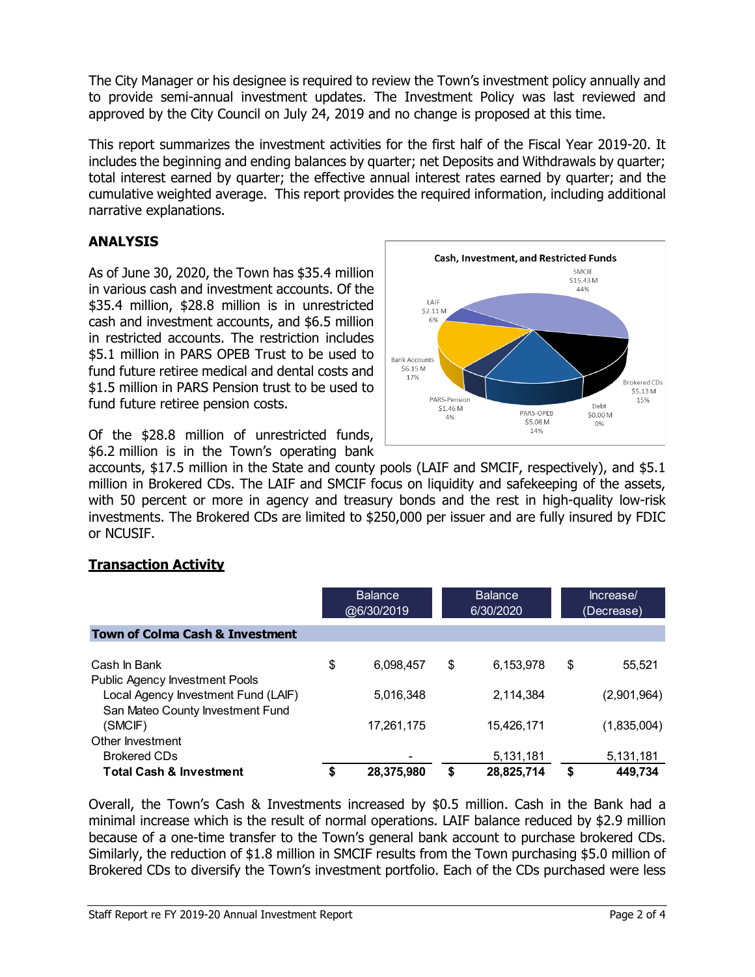The City Manager or his designee is required to review the Town's investment policy annually and to provide semi-annual investment updates. The Investment Policy was last reviewed and approved by the City Council on July 24, 2019 and no change is proposed at this time.

This report summarizes the investment activities for the first half of the Fiscal Year 2019-20. It includes the beginning and ending balances by quarter; net Deposits and Withdrawals by quarter; total interest earned by quarter; the effective annual interest rates earned by quarter; and the cumulative weighted average. This report provides the required information, including additional narrative explanations.

# **ANALYSIS**

As of June 30, 2020, the Town has \$35.4 million in various cash and investment accounts. Of the \$35.4 million, \$28.8 million is in unrestricted cash and investment accounts, and \$6.5 million in restricted accounts. The restriction includes \$5.1 million in PARS OPEB Trust to be used to fund future retiree medical and dental costs and \$1.5 million in PARS Pension trust to be used to fund future retiree pension costs.

Of the \$28.8 million of unrestricted funds, \$6.2 million is in the Town's operating bank

accounts, \$17.5 million in the State and county pools (LAIF and SMCIF, respectively), and \$5.1 million in Brokered CDs. The LAIF and SMCIF focus on liquidity and safekeeping of the assets, with 50 percent or more in agency and treasury bonds and the rest in high-quality low-risk investments. The Brokered CDs are limited to \$250,000 per issuer and are fully insured by FDIC or NCUSIF.

# **Transaction Activity**

|                                                                         |    | <b>Balance</b><br>@6/30/2019 |    | <b>Balance</b><br>6/30/2020 | Increase/<br>(Decrease) |             |  |
|-------------------------------------------------------------------------|----|------------------------------|----|-----------------------------|-------------------------|-------------|--|
| <b>Town of Colma Cash &amp; Investment</b>                              |    |                              |    |                             |                         |             |  |
| Cash In Bank<br>Public Agency Investment Pools                          | \$ | 6,098,457                    | \$ | 6,153,978                   | \$                      | 55,521      |  |
| Local Agency Investment Fund (LAIF)<br>San Mateo County Investment Fund |    | 5,016,348                    |    | 2,114,384                   |                         | (2,901,964) |  |
| (SMCIF)<br>Other Investment                                             |    | 17,261,175                   |    | 15,426,171                  |                         | (1,835,004) |  |
| <b>Brokered CDs</b>                                                     |    |                              |    | 5,131,181                   |                         | 5,131,181   |  |
| <b>Total Cash &amp; Investment</b>                                      |    | 28,375,980                   | S  | 28,825,714                  | \$                      | 449.734     |  |

Overall, the Town's Cash & Investments increased by \$0.5 million. Cash in the Bank had a minimal increase which is the result of normal operations. LAIF balance reduced by \$2.9 million because of a one-time transfer to the Town's general bank account to purchase brokered CDs. Similarly, the reduction of \$1.8 million in SMCIF results from the Town purchasing \$5.0 million of Brokered CDs to diversify the Town's investment portfolio. Each of the CDs purchased were less

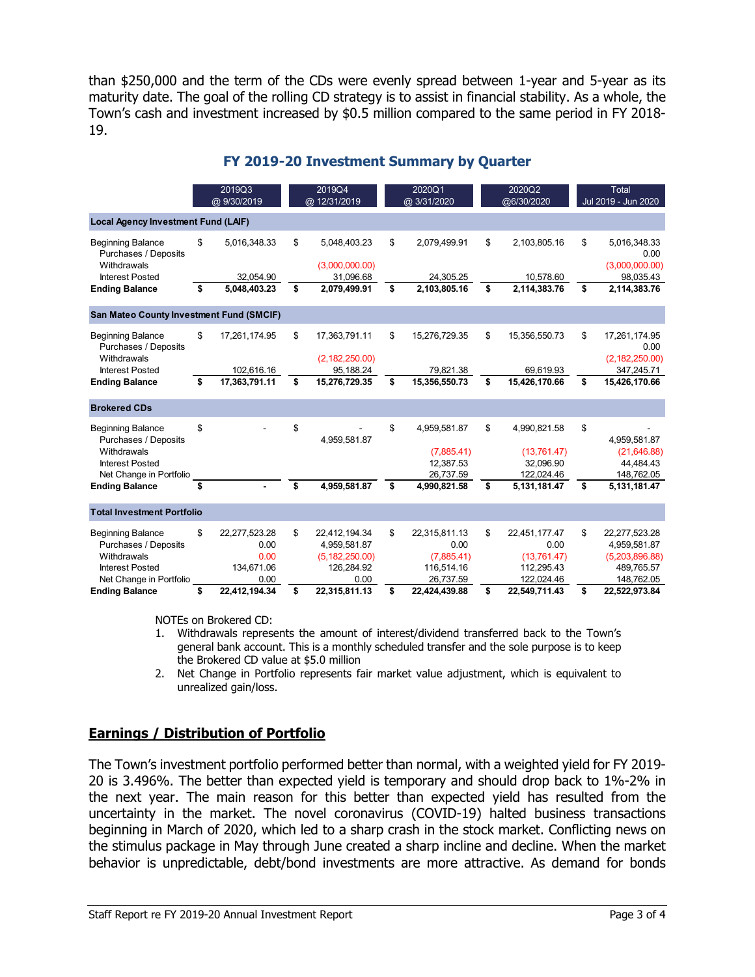than \$250,000 and the term of the CDs were evenly spread between 1-year and 5-year as its maturity date. The goal of the rolling CD strategy is to assist in financial stability. As a whole, the Town's cash and investment increased by \$0.5 million compared to the same period in FY 2018- 19.

|                                                                                                                      |    | 2019Q3<br>@ 9/30/2019                               | 2019Q4<br>@ 12/31/2019 |                                                                         | 2020Q1<br>@ 3/31/2020 |                                                                | 2020Q2<br>@6/30/2020 |                                                                  | Total<br>Jul 2019 - Jun 2020 |                                                                             |  |
|----------------------------------------------------------------------------------------------------------------------|----|-----------------------------------------------------|------------------------|-------------------------------------------------------------------------|-----------------------|----------------------------------------------------------------|----------------------|------------------------------------------------------------------|------------------------------|-----------------------------------------------------------------------------|--|
| <b>Local Agency Investment Fund (LAF)</b>                                                                            |    |                                                     |                        |                                                                         |                       |                                                                |                      |                                                                  |                              |                                                                             |  |
| <b>Beginning Balance</b><br>Purchases / Deposits<br>Withdrawals                                                      | \$ | 5,016,348.33                                        | \$                     | 5,048,403.23<br>(3,000,000.00)                                          | \$                    | 2,079,499.91                                                   | \$                   | 2,103,805.16                                                     | \$                           | 5,016,348.33<br>0.00<br>(3,000,000.00)                                      |  |
| <b>Interest Posted</b><br><b>Ending Balance</b>                                                                      | \$ | 32,054.90<br>5,048,403.23                           | \$                     | 31,096.68<br>2,079,499.91                                               | \$                    | 24,305.25<br>2,103,805.16                                      | \$                   | 10,578.60<br>2,114,383.76                                        | \$                           | 98,035.43<br>2,114,383.76                                                   |  |
| San Mateo County Investment Fund (SMCIF)                                                                             |    |                                                     |                        |                                                                         |                       |                                                                |                      |                                                                  |                              |                                                                             |  |
| <b>Beginning Balance</b><br>Purchases / Deposits<br>Withdrawals                                                      | \$ | 17,261,174.95                                       | \$                     | 17,363,791.11<br>(2, 182, 250.00)                                       | \$                    | 15,276,729.35                                                  | \$                   | 15,356,550.73                                                    | \$                           | 17,261,174.95<br>0.00<br>(2, 182, 250.00)                                   |  |
| <b>Interest Posted</b><br><b>Ending Balance</b>                                                                      | \$ | 102,616.16<br>17,363,791.11                         | \$                     | 95,188.24<br>15,276,729.35                                              | \$                    | 79,821.38<br>15,356,550.73                                     | \$                   | 69,619.93<br>15,426,170.66                                       | \$                           | 347,245.71<br>15,426,170.66                                                 |  |
|                                                                                                                      |    |                                                     |                        |                                                                         |                       |                                                                |                      |                                                                  |                              |                                                                             |  |
| <b>Brokered CDs</b>                                                                                                  |    |                                                     |                        |                                                                         |                       |                                                                |                      |                                                                  |                              |                                                                             |  |
| <b>Beginning Balance</b><br>Purchases / Deposits<br>Withdrawals<br><b>Interest Posted</b><br>Net Change in Portfolio | \$ |                                                     | \$                     | 4.959.581.87                                                            | \$                    | 4,959,581.87<br>(7,885.41)<br>12,387.53<br>26,737.59           | \$                   | 4,990,821.58<br>(13,761.47)<br>32,096.90<br>122,024.46           | \$                           | 4,959,581.87<br>(21,646.88)<br>44,484.43<br>148,762.05                      |  |
| <b>Ending Balance</b>                                                                                                | \$ |                                                     | \$                     | 4,959,581.87                                                            | \$                    | 4,990,821.58                                                   | \$                   | 5,131,181.47                                                     | \$                           | 5,131,181.47                                                                |  |
| <b>Total Investment Portfolio</b>                                                                                    |    |                                                     |                        |                                                                         |                       |                                                                |                      |                                                                  |                              |                                                                             |  |
| <b>Beginning Balance</b><br>Purchases / Deposits<br>Withdrawals<br><b>Interest Posted</b><br>Net Change in Portfolio | \$ | 22,277,523.28<br>0.00<br>0.00<br>134,671.06<br>0.00 | \$                     | 22,412,194.34<br>4,959,581.87<br>(5, 182, 250.00)<br>126,284.92<br>0.00 | \$                    | 22,315,811.13<br>0.00<br>(7,885.41)<br>116,514.16<br>26,737.59 | \$                   | 22,451,177.47<br>0.00<br>(13,761.47)<br>112,295.43<br>122,024.46 | \$                           | 22,277,523.28<br>4,959,581.87<br>(5,203,896.88)<br>489,765.57<br>148,762.05 |  |
| <b>Ending Balance</b>                                                                                                | \$ | 22,412,194.34                                       | \$                     | 22,315,811.13                                                           | \$                    | 22,424,439.88                                                  | \$                   | 22,549,711.43                                                    | \$                           | 22,522,973.84                                                               |  |

#### **FY 2019-20 Investment Summary by Quarter**

NOTEs on Brokered CD:

- 1. Withdrawals represents the amount of interest/dividend transferred back to the Town's general bank account. This is a monthly scheduled transfer and the sole purpose is to keep the Brokered CD value at \$5.0 million
- 2. Net Change in Portfolio represents fair market value adjustment, which is equivalent to unrealized gain/loss.

# **Earnings / Distribution of Portfolio**

The Town's investment portfolio performed better than normal, with a weighted yield for FY 2019- 20 is 3.496%. The better than expected yield is temporary and should drop back to 1%-2% in the next year. The main reason for this better than expected yield has resulted from the uncertainty in the market. The novel coronavirus (COVID-19) halted business transactions beginning in March of 2020, which led to a sharp crash in the stock market. Conflicting news on the stimulus package in May through June created a sharp incline and decline. When the market behavior is unpredictable, debt/bond investments are more attractive. As demand for bonds